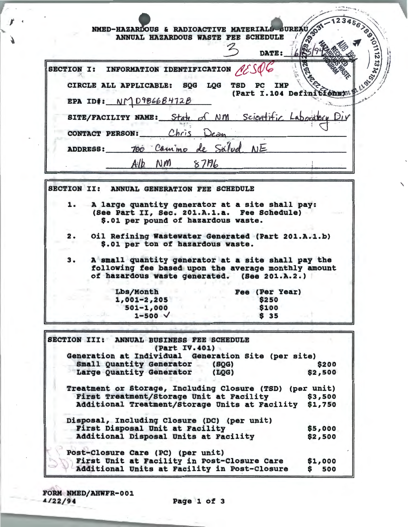| SECTION I: INFORMATION IDENTIFICATION $\mathcal{M}$ |                                                                                    |      |                                                   | <b>DATE:</b> | <b>1999 - 1999 - 1999 - 1999 - 1999 - 1999 - 1999 - 1999 - 1999 - 1999 - 1999 - 1999 - 1999 - 1999 - 1999 - 1999</b> |
|-----------------------------------------------------|------------------------------------------------------------------------------------|------|---------------------------------------------------|--------------|----------------------------------------------------------------------------------------------------------------------|
|                                                     | CIRCLE ALL APPLICABLE: SQG LQG<br>EPA ID#: $N\bigcap D9B66B472B$                   |      | <b>TSD</b><br>$_{PC}$<br>(Part I.104 Definitions) | <b>IMP</b>   |                                                                                                                      |
|                                                     | SITE/FACILITY NAME: State of NM Scientific Laboratory Div<br>CONTACT PERSON: Chris |      |                                                   |              |                                                                                                                      |
|                                                     | ADDRESS: 700 Commo de Salud NE                                                     |      |                                                   |              |                                                                                                                      |
|                                                     | $Alb$ $N$ <i>m</i>                                                                 | 8776 |                                                   |              |                                                                                                                      |
| <b>SECTION II:</b>                                  | ANNUAL GENERATION FEE SCHEDULE                                                     |      |                                                   |              |                                                                                                                      |

- \$.01 per ton of hazardous waste.
- $3.$ A small quantity generator at a site shall pay the following fee based upon the average monthly amount of hazardous waste generated. (See 201.A.2.)

| Lbs/Month         |  |
|-------------------|--|
| $1,001-2,205$     |  |
| $501 - 1,000$     |  |
| $1 - 500 \sqrt{}$ |  |

그 왜 이렇게 어려워.

**Fee (Per Year)** \$250 \$100  $$35$ 

A ACTE SENTER C. L.

SECTION III: ANNUAL BUSINESS FEE SCHEDULE (Part IV.401) Generation at Individual Generation Site (per site) Small Quantity Generator (SQG) **S200** Large Quantity Generator \$2,500  $(LOG)$ Treatment or Storage, Including Closure (TSD) (per unit) First Treatment/Storage Unit at Facility \$3,500 Additional Treatment/Storage Units at Facility \$1,750 Disposal, Including Closure (DC) (per unit) First Disposal Unit at Facility \$5,000 Additional Disposal Units at Facility \$2,500 Post-Closure Care (PC) (per unit) First Unit at Facility in Post-Closure Care \$1,000 Additional Units at Facility in Post-Closure  $$500$ 

FORM NMED/AHWFR-001 4/22/94